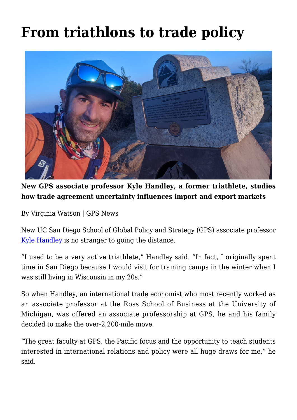## **[From triathlons to trade policy](https://gpsnews.ucsd.edu/from-triathlons-to-trade-policy/)**



**New GPS associate professor Kyle Handley, a former triathlete, studies how trade agreement uncertainty influences import and export markets**

By Virginia Watson | GPS News

New UC San Diego School of Global Policy and Strategy (GPS) associate professor [Kyle Handley](https://gps.ucsd.edu/faculty-directory/kyle-handley.html) is no stranger to going the distance.

"I used to be a very active triathlete," Handley said. "In fact, I originally spent time in San Diego because I would visit for training camps in the winter when I was still living in Wisconsin in my 20s."

So when Handley, an international trade economist who most recently worked as an associate professor at the Ross School of Business at the University of Michigan, was offered an associate professorship at GPS, he and his family decided to make the over-2,200-mile move.

"The great faculty at GPS, the Pacific focus and the opportunity to teach students interested in international relations and policy were all huge draws for me," he said.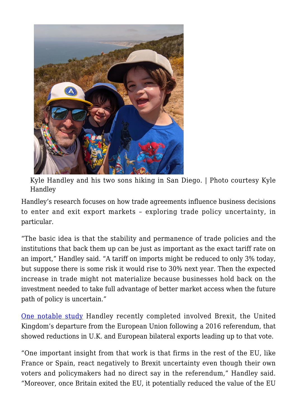

Kyle Handley and his two sons hiking in San Diego. | Photo courtesy Kyle Handley

Handley's research focuses on how trade agreements influence business decisions to enter and exit export markets – exploring trade policy uncertainty, in particular.

"The basic idea is that the stability and permanence of trade policies and the institutions that back them up can be just as important as the exact tariff rate on an import," Handley said. "A tariff on imports might be reduced to only 3% today, but suppose there is some risk it would rise to 30% next year. Then the expected increase in trade might not materialize because businesses hold back on the investment needed to take full advantage of better market access when the future path of policy is uncertain."

[One notable study](https://www.aeaweb.org/articles?id=10.1257/pandp.20201021) Handley recently completed involved Brexit, the United Kingdom's departure from the European Union following a 2016 referendum, that showed reductions in U.K. and European bilateral exports leading up to that vote.

"One important insight from that work is that firms in the rest of the EU, like France or Spain, react negatively to Brexit uncertainty even though their own voters and policymakers had no direct say in the referendum," Handley said. "Moreover, once Britain exited the EU, it potentially reduced the value of the EU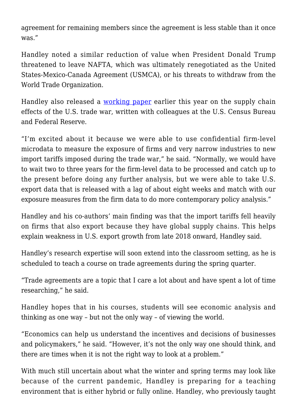agreement for remaining members since the agreement is less stable than it once was."

Handley noted a similar reduction of value when President Donald Trump threatened to leave NAFTA, which was ultimately renegotiated as the United States-Mexico-Canada Agreement (USMCA), or his threats to withdraw from the World Trade Organization.

Handley also released a [working paper](https://www.nber.org/system/files/working_papers/w27896/w27896.pdf) earlier this year on the supply chain effects of the U.S. trade war, written with colleagues at the U.S. Census Bureau and Federal Reserve.

"I'm excited about it because we were able to use confidential firm-level microdata to measure the exposure of firms and very narrow industries to new import tariffs imposed during the trade war," he said. "Normally, we would have to wait two to three years for the firm-level data to be processed and catch up to the present before doing any further analysis, but we were able to take U.S. export data that is released with a lag of about eight weeks and match with our exposure measures from the firm data to do more contemporary policy analysis."

Handley and his co-authors' main finding was that the import tariffs fell heavily on firms that also export because they have global supply chains. This helps explain weakness in U.S. export growth from late 2018 onward, Handley said.

Handley's research expertise will soon extend into the classroom setting, as he is scheduled to teach a course on trade agreements during the spring quarter.

"Trade agreements are a topic that I care a lot about and have spent a lot of time researching," he said.

Handley hopes that in his courses, students will see economic analysis and thinking as one way – but not the only way – of viewing the world.

"Economics can help us understand the incentives and decisions of businesses and policymakers," he said. "However, it's not the only way one should think, and there are times when it is not the right way to look at a problem."

With much still uncertain about what the winter and spring terms may look like because of the current pandemic, Handley is preparing for a teaching environment that is either hybrid or fully online. Handley, who previously taught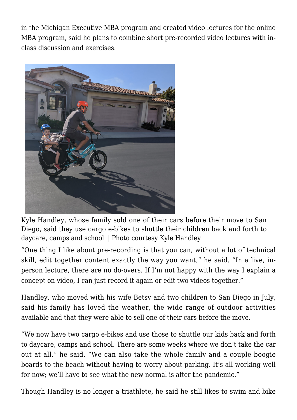in the Michigan Executive MBA program and created video lectures for the online MBA program, said he plans to combine short pre-recorded video lectures with inclass discussion and exercises.



Kyle Handley, whose family sold one of their cars before their move to San Diego, said they use cargo e-bikes to shuttle their children back and forth to daycare, camps and school. | Photo courtesy Kyle Handley

"One thing I like about pre-recording is that you can, without a lot of technical skill, edit together content exactly the way you want," he said. "In a live, inperson lecture, there are no do-overs. If I'm not happy with the way I explain a concept on video, I can just record it again or edit two videos together."

Handley, who moved with his wife Betsy and two children to San Diego in July, said his family has loved the weather, the wide range of outdoor activities available and that they were able to sell one of their cars before the move.

"We now have two cargo e-bikes and use those to shuttle our kids back and forth to daycare, camps and school. There are some weeks where we don't take the car out at all," he said. "We can also take the whole family and a couple boogie boards to the beach without having to worry about parking. It's all working well for now; we'll have to see what the new normal is after the pandemic."

Though Handley is no longer a triathlete, he said he still likes to swim and bike